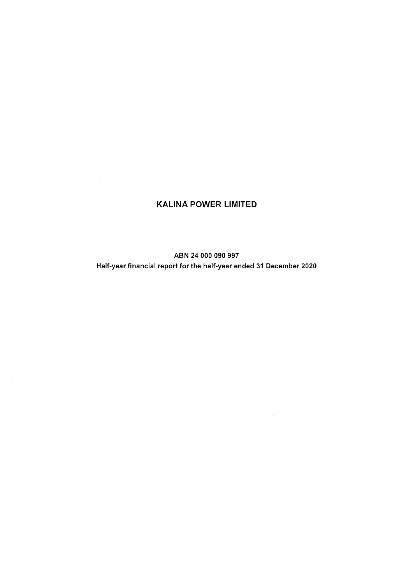# **KALINA POWER LIMITED**

 $\sim$ 

 $\sim$   $\lambda$ 

ABN 24 000 090 997 Half-year financial report for the half-year ended 31 December 2020

 $\sim 10^{-11}$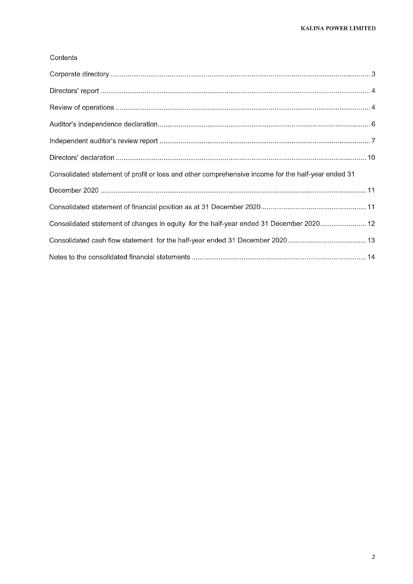## Contents

| Consolidated statement of profit or loss and other comprehensive income for the half-year ended 31 |
|----------------------------------------------------------------------------------------------------|
|                                                                                                    |
|                                                                                                    |
| Consolidated statement of changes in equity for the half-year ended 31 December 2020 12            |
|                                                                                                    |
|                                                                                                    |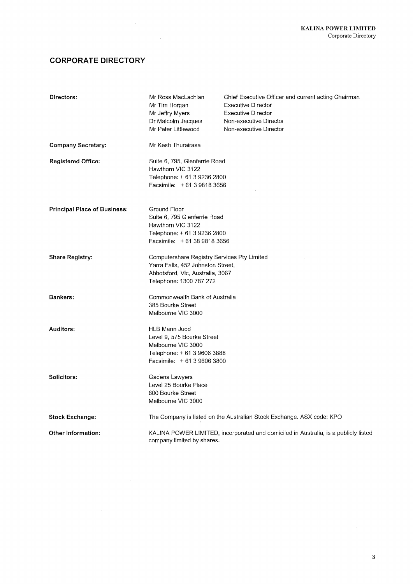# **CORPORATE DIRECTORY**

 $\bar{\gamma}$ 

 $\hat{f}$  and  $\hat{f}$  and  $\hat{f}$ 

 $\sim 10^7$ 

| Directors:                          | Mr Ross MacLachlan<br>Mr Tim Horgan<br>Mr Jeffry Myers<br>Dr Malcolm Jacques<br>Mr Peter Littlewood                                             | Chief Executive Officer and current acting Chairman<br><b>Executive Director</b><br><b>Executive Director</b><br>Non-executive Director<br>Non-executive Director |
|-------------------------------------|-------------------------------------------------------------------------------------------------------------------------------------------------|-------------------------------------------------------------------------------------------------------------------------------------------------------------------|
| <b>Company Secretary:</b>           | Mr Kesh Thurairasa                                                                                                                              |                                                                                                                                                                   |
| <b>Registered Office:</b>           | Suite 6, 795, Glenferrie Road<br>Hawthorn VIC 3122<br>Telephone: + 61 3 9236 2800<br>Facsimile: $+61398183656$                                  |                                                                                                                                                                   |
| <b>Principal Place of Business:</b> | Ground Floor<br>Suite 6, 795 Glenferrie Road<br>Hawthorn VIC 3122<br>Telephone: + 61 3 9236 2800<br>Facsimile: +61 38 9818 3656                 |                                                                                                                                                                   |
| <b>Share Registry:</b>              | Computershare Registry Services Pty Limited<br>Yarra Falls, 452 Johnston Street,<br>Abbotsford, Vic, Australia, 3067<br>Telephone: 1300 787 272 |                                                                                                                                                                   |
| Bankers:                            | Commonwealth Bank of Australia<br>385 Bourke Street<br>Melbourne VIC 3000                                                                       |                                                                                                                                                                   |
| Auditors:                           | HLB Mann Judd<br>Level 9, 575 Bourke Street<br>Melbourne VIC 3000<br>Telephone: +61 3 9606 3888<br>Facsimile: +61 3 9606 3800                   |                                                                                                                                                                   |
| Solicitors:                         | Gadens Lawyers<br>Level 25 Bourke Place<br>600 Bourke Street<br>Melbourne VIC 3000                                                              |                                                                                                                                                                   |
| <b>Stock Exchange:</b>              |                                                                                                                                                 | The Company is listed on the Australian Stock Exchange. ASX code: KPO                                                                                             |
| Other Information:                  | company limited by shares.                                                                                                                      | KALINA POWER LIMITED, incorporated and domiciled in Australia, is a publicly listed                                                                               |

 $\sim$   $\sim$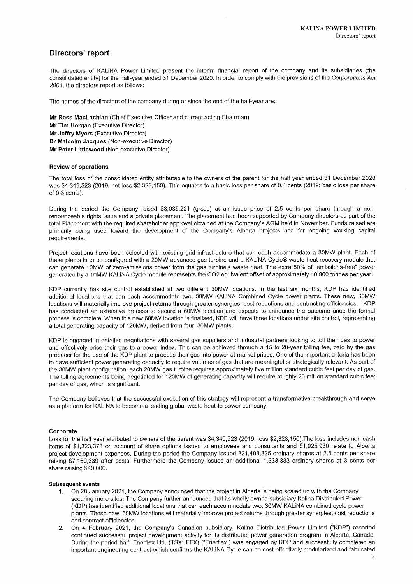## Directors' report

The directors of KALINA Power Limited present the interim financial report of the company and its subsidiaries (the consolidated entity) for the half-year ended 31 December 2020. In order to comply with the provisions of the Corporations Act 2001, the directors report as follows:

The names of the directors of the company during or since the end of the half-year are:

Mr Ross MacLachlan (Chief Executive Officer and current acting Chairman) Mr Tim Horgan (Executive Director) Mr Jeffry Myers (Executive Director) Dr Malcolm Jacques (Non-executive Director) Mr Peter Littlewood (Non-executive Director)

### **Review of operations**

The total loss of the consolidated entity attributable to the owners of the parent for the half year ended 31 December 2020 was \$4,349,523 (2019: net loss \$2,328,150). This equates to a basic loss per share of 0.4 cents (2019: basic loss per share of  $0.3$  cents).

During the period the Company raised \$8,035,221 (gross) at an issue price of 2.5 cents per share through a nonrenounceable rights issue and a private placement. The placement had been supported by Company directors as part of the total Placement with the required shareholder approval obtained at the Company's AGM held in November. Funds raised are primarily being used toward the development of the Company's Alberta projects and for ongoing working capital requirements.

Project locations have been selected with existing grid infrastructure that can each accommodate a 30MW plant. Each of these plants is to be configured with a 20MW advanced gas turbine and a KALINA Cycle® waste heat recovery module that can generate 10MW of zero-emissions power from the gas turbine's waste heat. The extra 50% of "emissions-free" power generated by a 10MW KALINA Cycle module represents the CO2 equivalent offset of approximately 40,000 tonnes per year.

KDP currently has site control established at two different 30MW locations. In the last six months, KDP has identified additional locations that can each accommodate two, 30MW KALINA Combined Cycle power plants. These new, 60MW locations will materially improve project returns through greater synergies, cost reductions and contracting efficiencies. KDP has conducted an extensive process to secure a 60MW location and expects to announce the outcome once the formal process is complete. When this new 60MW location is finalised. KDP will have three locations under site control, representing a total generating capacity of 120MW, derived from four, 30MW plants,

KDP is engaged in detailed negotiations with several gas suppliers and industrial partners looking to toll their gas to power and effectively price their gas to a power index. This can be achieved through a 15 to 20-year tolling fee, paid by the gas producer for the use of the KDP plant to process their gas into power at market prices. One of the important criteria has been to have sufficient power generating capacity to require volumes of gas that are meaningful or strategically relevant. As part of the 30MW plant configuration, each 20MW gas turbine requires approximately five million standard cubic feet per day of gas. The tolling agreements being negotiated for 120MW of generating capacity will require roughly 20 million standard cubic feet per day of gas, which is significant.

The Company believes that the successful execution of this strategy will represent a transformative breakthrough and serve as a platform for KALINA to become a leading global waste heat-to-power company.

### Cornorate

Loss for the half year attributed to owners of the parent was \$4,349,523 (2019: loss \$2,328,150). The loss includes non-cash items of \$1,323,378 on account of share options issued to employees and consultants and \$1,925,930 relate to Alberta project development expenses. During the period the Company issued 321,408,825 ordinary shares at 2.5 cents per share raising \$7,160,339 after costs. Furthermore the Company issued an additional 1,333,333 ordinary shares at 3 cents per share raising \$40,000.

### **Subsequent events**

- On 28 January 2021, the Company announced that the project in Alberta is being scaled up with the Company  $1<sub>1</sub>$ securing more sites. The Company further announced that its wholly owned subsidiary Kalina Distributed Power (KDP) has identified additional locations that can each accommodate two, 30MW KALINA combined cycle power plants. These new, 60MW locations will materially improve project returns through greater synergies, cost reductions and contract efficiencies.
- 2. On 4 February 2021, the Company's Canadian subsidiary, Kalina Distributed Power Limited ("KDP") reported continued successful project development activity for its distributed power generation program in Alberta, Canada. During the period half, Enerflex Ltd. (TSX: EFX) ("Enerflex") was engaged by KDP and successfully completed an important engineering contract which confirms the KALINA Cycle can be cost-effectively modularized and fabricated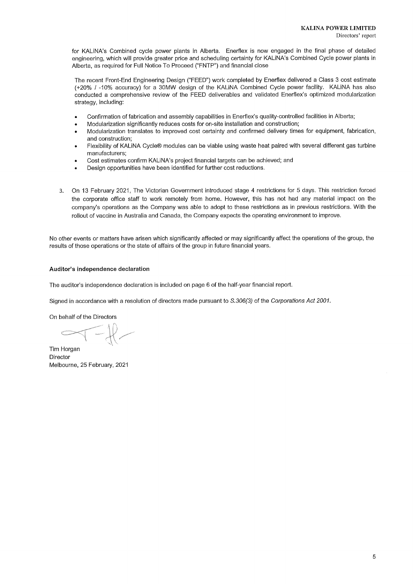for KALINA's Combined cycle power plants in Alberta. Enerflex is now engaged in the final phase of detailed engineering, which will provide greater price and scheduling certainty for KALINA's Combined Cycle power plants in Alberta, as required for Full Notice To Proceed ("FNTP") and financial close

The recent Front-End Engineering Design ("FEED") work completed by Enerflex delivered a Class 3 cost estimate (+20% / -10% accuracy) for a 30MW design of the KALINA Combined Cycle power facility. KALINA has also conducted a comprehensive review of the FEED deliverables and validated Enerflex's optimized modularization strategy, including:

- Confirmation of fabrication and assembly capabilities in Enerflex's quality-controlled facilities in Alberta;
- Modularization significantly reduces costs for on-site installation and construction;
- Modularization translates to improved cost certainty and confirmed delivery times for equipment, fabrication, and construction;
- Flexibility of KALINA Cycle® modules can be viable using waste heat paired with several different gas turbine manufacturers;
- Cost estimates confirm KALINA's project financial targets can be achieved; and
- Design opportunities have been identified for further cost reductions.
- On 13 February 2021, The Victorian Government introduced stage 4 restrictions for 5 days. This restriction forced  $3.$ the corporate office staff to work remotely from home. However, this has not had any material impact on the company's operations as the Company was able to adopt to these restrictions as in previous restrictions. With the rollout of vaccine in Australia and Canada, the Company expects the operating environment to improve.

No other events or matters have arisen which significantly affected or may significantly affect the operations of the group, the results of those operations or the state of affairs of the group in future financial years.

### Auditor's independence declaration

The auditor's independence declaration is included on page 6 of the half-year financial report.

Signed in accordance with a resolution of directors made pursuant to S.306(3) of the Corporations Act 2001.

On behalf of the Directors

Tim Horgan Director Melbourne, 25 February, 2021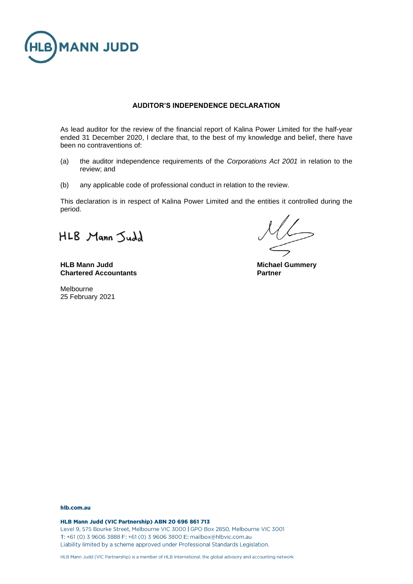

### **AUDITOR'S INDEPENDENCE DECLARATION**

As lead auditor for the review of the financial report of Kalina Power Limited for the half-year ended 31 December 2020, I declare that, to the best of my knowledge and belief, there have been no contraventions of:

- (a) the auditor independence requirements of the *Corporations Act 2001* in relation to the review; and
- (b) any applicable code of professional conduct in relation to the review.

This declaration is in respect of Kalina Power Limited and the entities it controlled during the period.

HLB Mann Judd

**HLB Mann Judd Michael Gummery Chartered Accountants Partner**

Melbourne 25 February 2021

### hlb.com.au

HLB Mann Judd (VIC Partnership) ABN 20 696 861 713 Level 9, 575 Bourke Street, Melbourne VIC 3000 | GPO Box 2850, Melbourne VIC 3001 T: +61 (0) 3 9606 3888 F: +61 (0) 3 9606 3800 E: mailbox@hlbvic.com.au Liability limited by a scheme approved under Professional Standards Legislation.

HLB Mann Judd (VIC Partnership) is a member of HLB International, the global advisory and accounting network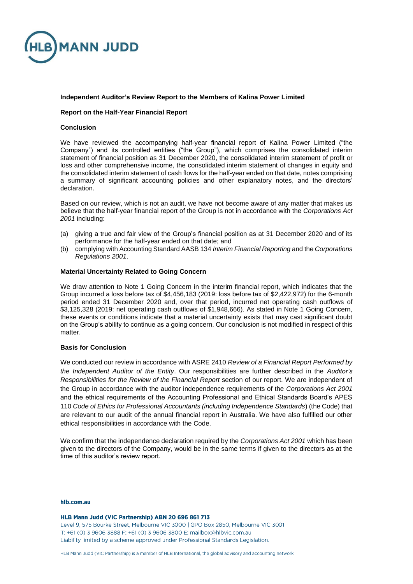

### **Independent Auditor's Review Report to the Members of Kalina Power Limited**

### **Report on the Half-Year Financial Report**

### **Conclusion**

We have reviewed the accompanying half-year financial report of Kalina Power Limited ("the Company") and its controlled entities ("the Group"), which comprises the consolidated interim statement of financial position as 31 December 2020, the consolidated interim statement of profit or loss and other comprehensive income, the consolidated interim statement of changes in equity and the consolidated interim statement of cash flows for the half-year ended on that date, notes comprising a summary of significant accounting policies and other explanatory notes, and the directors' declaration.

Based on our review, which is not an audit, we have not become aware of any matter that makes us believe that the half-year financial report of the Group is not in accordance with the *Corporations Act 2001* including:

- (a) giving a true and fair view of the Group's financial position as at 31 December 2020 and of its performance for the half-year ended on that date; and
- (b) complying with Accounting Standard AASB 134 *Interim Financial Reporting* and the *Corporations Regulations 2001*.

### **Material Uncertainty Related to Going Concern**

We draw attention to Note 1 Going Concern in the interim financial report, which indicates that the Group incurred a loss before tax of \$4,456,183 (2019: loss before tax of \$2,422,972) for the 6-month period ended 31 December 2020 and, over that period, incurred net operating cash outflows of \$3,125,328 (2019: net operating cash outflows of \$1,948,666). As stated in Note 1 Going Concern, these events or conditions indicate that a material uncertainty exists that may cast significant doubt on the Group's ability to continue as a going concern. Our conclusion is not modified in respect of this matter.

### **Basis for Conclusion**

We conducted our review in accordance with ASRE 2410 *Review of a Financial Report Performed by the Independent Auditor of the Entity*. Our responsibilities are further described in the *Auditor's Responsibilities for the Review of the Financial Report* section of our report. We are independent of the Group in accordance with the auditor independence requirements of the *Corporations Act 2001* and the ethical requirements of the Accounting Professional and Ethical Standards Board's APES 110 *Code of Ethics for Professional Accountants (including Independence Standards*) (the Code) that are relevant to our audit of the annual financial report in Australia. We have also fulfilled our other ethical responsibilities in accordance with the Code.

We confirm that the independence declaration required by the *Corporations Act 2001* which has been given to the directors of the Company, would be in the same terms if given to the directors as at the time of this auditor's review report.

### hlb.com.au

HLB Mann Judd (VIC Partnership) ABN 20 696 861 713 Level 9, 575 Bourke Street, Melbourne VIC 3000 | GPO Box 2850, Melbourne VIC 3001 T: +61 (0) 3 9606 3888 F: +61 (0) 3 9606 3800 E: mailbox@hlbvic.com.au Liability limited by a scheme approved under Professional Standards Legislation.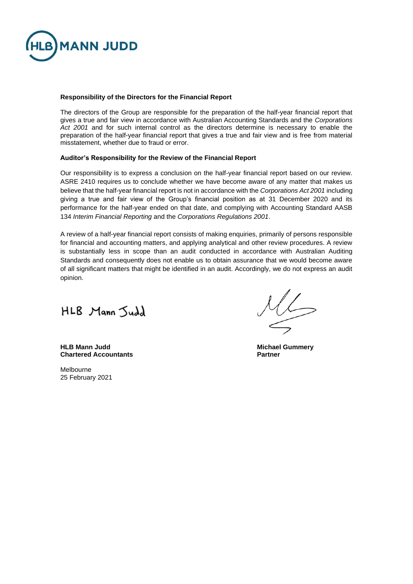

### **Responsibility of the Directors for the Financial Report**

The directors of the Group are responsible for the preparation of the half-year financial report that gives a true and fair view in accordance with Australian Accounting Standards and the *Corporations*  Act 2001 and for such internal control as the directors determine is necessary to enable the preparation of the half-year financial report that gives a true and fair view and is free from material misstatement, whether due to fraud or error.

### **Auditor's Responsibility for the Review of the Financial Report**

Our responsibility is to express a conclusion on the half-year financial report based on our review. ASRE 2410 requires us to conclude whether we have become aware of any matter that makes us believe that the half-year financial report is not in accordance with the *Corporations Act 2001* including giving a true and fair view of the Group's financial position as at 31 December 2020 and its performance for the half-year ended on that date, and complying with Accounting Standard AASB 134 *Interim Financial Reporting* and the *Corporations Regulations 2001*.

A review of a half-year financial report consists of making enquiries, primarily of persons responsible for financial and accounting matters, and applying analytical and other review procedures. A review is substantially less in scope than an audit conducted in accordance with Australian Auditing Standards and consequently does not enable us to obtain assurance that we would become aware of all significant matters that might be identified in an audit. Accordingly, we do not express an audit opinion.

HLB Mann Judd

**HLB Mann Judd Michael Gummery Chartered Accountants** 

Melbourne 25 February 2021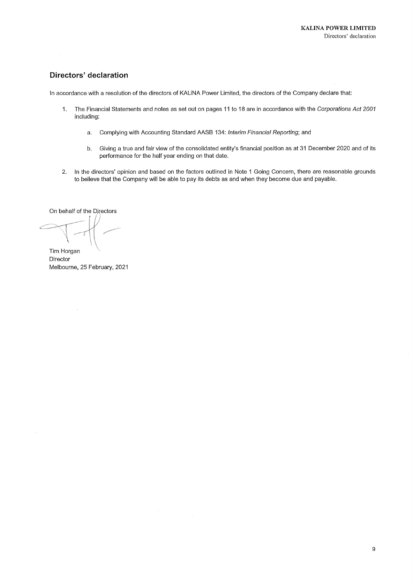# Directors' declaration

In accordance with a resolution of the directors of KALINA Power Limited, the directors of the Company declare that:

- $1.$ The Financial Statements and notes as set out on pages 11 to 18 are in accordance with the Corporations Act 2001 including:
	- Complying with Accounting Standard AASB 134: Interim Financial Reporting; and a.
	- $b.$ Giving a true and fair view of the consolidated entity's financial position as at 31 December 2020 and of its performance for the half year ending on that date.
- In the directors' opinion and based on the factors outlined in Note 1 Going Concern, there are reasonable grounds  $2.$ to believe that the Company will be able to pay its debts as and when they become due and payable.

On behalf of the Directors

Tim Horgan Director Melbourne, 25 February, 2021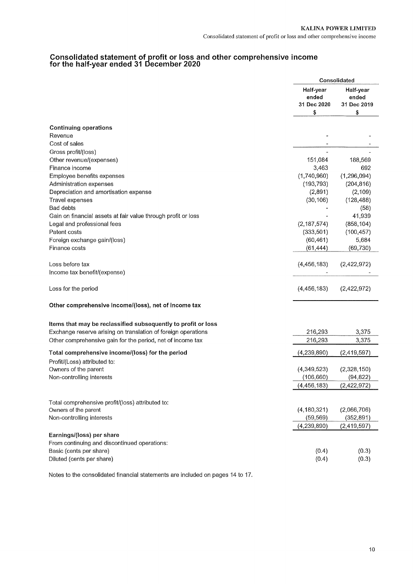# Consolidated statement of profit or loss and other comprehensive income<br>for the half-year ended 31 December 2020

|                                                               |                                         | Consolidated                            |
|---------------------------------------------------------------|-----------------------------------------|-----------------------------------------|
|                                                               | Half-year<br>ended<br>31 Dec 2020<br>\$ | Half-year<br>ended<br>31 Dec 2019<br>\$ |
|                                                               |                                         |                                         |
| <b>Continuing operations</b>                                  |                                         |                                         |
| Revenue                                                       |                                         |                                         |
| Cost of sales                                                 |                                         |                                         |
| Gross profit/(loss)                                           |                                         |                                         |
| Other revenue/(expenses)<br>Finance income                    | 151,084<br>3,463                        | 188,569<br>692                          |
| Employee benefits expenses                                    | (1,740,960)                             | (1, 296, 094)                           |
| Administration expenses                                       | (193, 793)                              | (204, 816)                              |
| Depreciation and amortisation expense                         | (2,891)                                 | (2, 109)                                |
| Travel expenses                                               | (30, 106)                               | (128, 488)                              |
| Bad debts                                                     |                                         | (58)                                    |
| Gain on financial assets at fair value through profit or loss |                                         | 41,939                                  |
| Legal and professional fees                                   | (2, 187, 574)                           | (858, 104)                              |
| Patent costs                                                  | (333,501)                               | (100, 457)                              |
| Foreign exchange gain/(loss)                                  | (60, 461)                               | 5,684                                   |
| Finance costs                                                 | (61, 444)                               | (69,730)                                |
| Loss before tax                                               | (4, 456, 183)                           | (2,422,972)                             |
| Income tax benefit/(expense)                                  |                                         |                                         |
|                                                               |                                         |                                         |
| Loss for the period                                           | (4,456,183)                             | (2,422,972)                             |
| Other comprehensive income/(loss), net of income tax          |                                         |                                         |
| Items that may be reclassified subsequently to profit or loss |                                         |                                         |
| Exchange reserve arising on translation of foreign operations | 216,293                                 | 3,375                                   |
| Other comprehensive gain for the period, net of income tax    | 216,293                                 | 3,375                                   |
| Total comprehensive income/(loss) for the period              | (4, 239, 890)                           | (2, 419, 597)                           |
| Profit/(Loss) attributed to:                                  |                                         |                                         |
| Owners of the parent                                          | (4,349,523)                             | (2,328,150)<br>(94, 822)                |
| Non-controlling interests                                     | (106, 660)<br>(4, 456, 183)             | (2,422,972)                             |
|                                                               |                                         |                                         |
| Total comprehensive profit/(loss) attributed to:              |                                         |                                         |
| Owners of the parent                                          | (4, 180, 321)                           | (2,066,706)                             |
| Non-controlling interests                                     | (59, 569)                               | (352, 891)                              |
|                                                               | (4, 239, 890)                           | (2,419,597)                             |
| Earnings/(loss) per share                                     |                                         |                                         |
| From continuing and discontinued operations:                  |                                         |                                         |
| Basic (cents per share)                                       | (0.4)                                   | (0.3)                                   |
| Diluted (cents per share)                                     | (0.4)                                   | (0.3)                                   |

Notes to the consolidated financial statements are included on pages 14 to 17.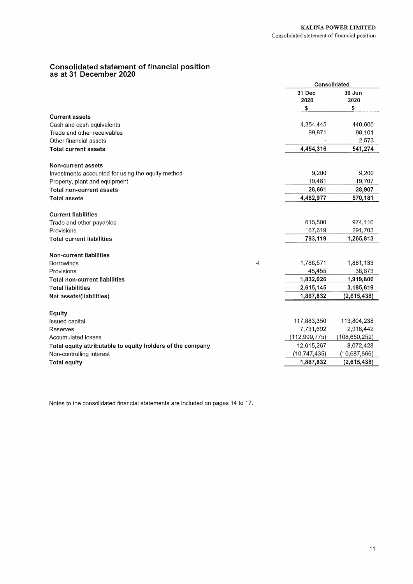# **Consolidated statement of financial position<br>as at 31 December 2020**

|                                                            |   |                | Consolidated  |
|------------------------------------------------------------|---|----------------|---------------|
|                                                            |   | 31 Dec         | 30 Jun        |
|                                                            |   | 2020           | 2020          |
|                                                            |   | \$             | \$            |
| <b>Current assets</b>                                      |   |                |               |
| Cash and cash equivalents                                  |   | 4,354,445      | 440,600       |
| Trade and other receivables                                |   | 99,871         | 98,101        |
| Other financial assets                                     |   |                | 2,573         |
| <b>Total current assets</b>                                |   | 4,454,316      | 541,274       |
| Non-current assets                                         |   |                |               |
| Investments accounted for using the equity method          |   | 9,200          | 9,200         |
| Property, plant and equipment                              |   | 19,461         | 19,707        |
| <b>Total non-current assets</b>                            |   | 28,661         | 28,907        |
| <b>Total assets</b>                                        |   | 4,482,977      | 570,181       |
| <b>Current liabilities</b>                                 |   |                |               |
| Trade and other payables                                   |   | 615,500        | 974,110       |
| Provisions                                                 |   | 167,619        | 291,703       |
| <b>Total current liabilities</b>                           |   | 783,119        | 1,265,813     |
| <b>Non-current liabilities</b>                             |   |                |               |
| Borrowings                                                 | 4 | 1,786,571      | 1,881,133     |
| Provisions                                                 |   | 45,455         | 38,673        |
| <b>Total non-current liabilities</b>                       |   | 1,832,026      | 1,919,806     |
| <b>Total liabilities</b>                                   |   | 2,615,145      | 3,185,619     |
| Net assets/(liabilities)                                   |   | 1,867,832      | (2,615,438)   |
| <b>Equity</b>                                              |   |                |               |
| <b>Issued capital</b>                                      |   | 117,883,350    | 113,804,238   |
| Reserves                                                   |   | 7,731,692      | 2,918,442     |
| <b>Accumulated losses</b>                                  |   | (112,999,775)  | (108,650,252) |
| Total equity attributable to equity holders of the company |   | 12,615,267     | 8,072,428     |
| Non-controlling interest                                   |   | (10, 747, 435) | (10,687,866)  |
| <b>Total equity</b>                                        |   | 1,867,832      | (2,615,438)   |

Notes to the consolidated financial statements are included on pages 14 to 17.

 $\hat{\mathcal{A}}$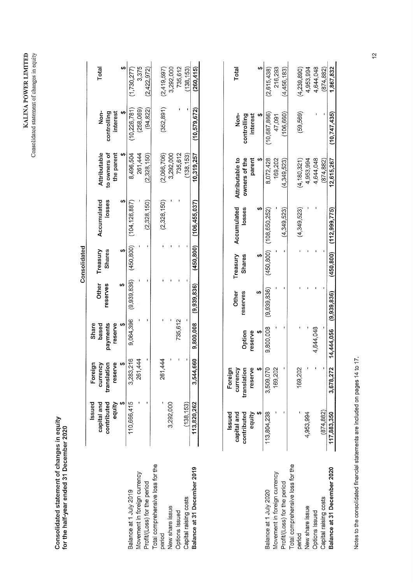| $\overline{\phantom{a}}$<br><b>ATTEP</b><br>ر ډې<br>د<br>۳<br>ALINA | $\frac{1}{2}$<br>d statement of<br>-vusolidater - |
|---------------------------------------------------------------------|---------------------------------------------------|
|---------------------------------------------------------------------|---------------------------------------------------|

Consolidated statement of changes in equity<br>for the half-year ended 31 December 2020

|                                  |                                      |                                    |                            |                          | Consolidated              |                             |                            |                         |             |
|----------------------------------|--------------------------------------|------------------------------------|----------------------------|--------------------------|---------------------------|-----------------------------|----------------------------|-------------------------|-------------|
|                                  | contributed<br>Issued<br>capital and | Foreign<br>currency<br>translation | Share<br>payments<br>based | <b>Other</b><br>reserves | Treasury<br><b>Shares</b> | Accumulated<br>losses       | Attributable               | non-                    | Total       |
|                                  | equity                               | φ<br>resery                        | reserve                    |                          |                           |                             | to owners of<br>the parent | controlling<br>interest |             |
|                                  |                                      |                                    |                            |                          |                           |                             |                            |                         |             |
| Balance at 1 July 2019           | 110,666,415                          | 3,283,216                          | 9,064,396                  | (9,939,836)              |                           | $(450,800)$ $(104,126,887)$ | 8,496,504                  | (10, 226, 781)          | (1,730,277) |
| Movement in foreign currency     |                                      | 261,444                            |                            |                          |                           |                             | 261,444                    | (258,069)               | 3,375       |
| Profit/(Loss) for the period     |                                      |                                    |                            |                          |                           | (2.328, 150)                | (2.328, 150)               | (94, 822)               | (2,422,972) |
| Total comprehensive loss for the |                                      |                                    |                            |                          |                           |                             |                            |                         |             |
| period                           |                                      | 261,444                            |                            |                          |                           | (2,328,150)                 | (2,066,706)                | (352, 891)              | (2,419,597) |
| New share issue                  | 3,292,000                            |                                    |                            |                          |                           |                             | 3,292,000                  |                         | 3,292,000   |
| <b>Options</b> Issued            |                                      |                                    | 735,612                    |                          |                           |                             | 735,612                    |                         | 735,612     |
| Capital raising costs            | (138, 153)                           |                                    |                            |                          |                           |                             | (138, 153)                 |                         | (138, 153)  |
| Balance at 31 December 2019      | 113,820,262                          | 3,544,660                          | 9,800,008                  | (9,939,836)              | (450, 800)                | (106,455,037)               | 10,319,257                 | (10, 579, 672)          | (260, 415)  |
|                                  |                                      |                                    |                            |                          |                           |                             |                            |                         |             |
|                                  |                                      |                                    |                            |                          |                           |                             |                            |                         |             |

|                                  | Issued<br>contributed<br>capital and | Foreign<br>translation<br>currency | Option                   | Other<br>reserves | Treasury<br><b>Shares</b> | Accumulated<br>losses          | owners of the<br>Attributable to | <b>Non-</b><br>controlling | Total       |
|----------------------------------|--------------------------------------|------------------------------------|--------------------------|-------------------|---------------------------|--------------------------------|----------------------------------|----------------------------|-------------|
|                                  | equity                               | 9<br>resen                         | eserve                   |                   |                           |                                | parent                           | interest                   |             |
| Balance at 1 July 2020           | 113,804,238                          | 3,509,070                          | 9,800,008                | (9,939,836)       |                           | $(450, 800)$ $(108, 650, 252)$ | 8,072,428                        | (10,687,866)               | (2,615,438) |
| Movement in foreign currency     |                                      | 169,202                            |                          |                   |                           |                                | 169,202                          | 47,091                     | 216,293     |
| Profit/(Loss) for the period     |                                      |                                    |                          |                   |                           | (4,349,523)                    | 4.349.523                        | 106,660                    | (4,456,183) |
| Total comprehensive loss for the |                                      |                                    |                          |                   |                           |                                |                                  |                            |             |
| period                           |                                      | 169.202                            |                          |                   |                           | (4,349,523)                    | (4, 180, 321)                    | (59, 569)                  | (4,239,890) |
| New share issue                  | 4,953,994                            |                                    |                          |                   |                           |                                | 4,953,994                        |                            | 4,953,994   |
| Options Issued                   |                                      |                                    | 4,644,048                |                   |                           |                                | 4,644,048                        |                            | 4,644,048   |
| Capital raising costs            | (874, 882)                           |                                    |                          |                   |                           |                                | (874.882)                        |                            | (874, 882)  |
| Balance at 31 December 2020      | 117,883,350                          | 3,678,272                          | $14,444,056$ (9.939.836) |                   |                           | $(450, 800)$ $(112, 999, 775)$ | 12.615.267                       | (10.747, 435)              | 1.867.832   |
|                                  |                                      |                                    |                          |                   |                           |                                |                                  |                            |             |

Notes to the consolidated financial statements are included on pages 14 to 17.

 $\frac{1}{2}$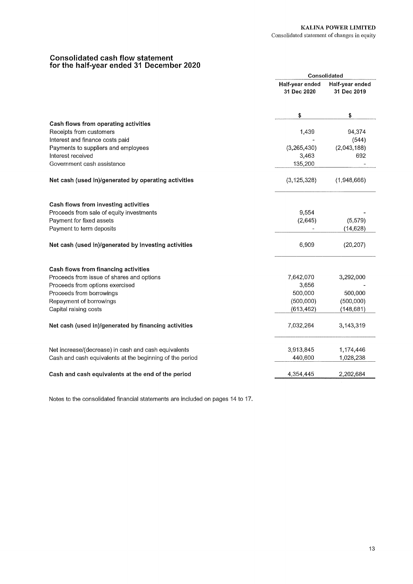# Consolidated cash flow statement<br>for the half-year ended 31 December 2020

|                                                          |                                | Consolidated                   |
|----------------------------------------------------------|--------------------------------|--------------------------------|
|                                                          | Half-year ended<br>31 Dec 2020 | Half-year ended<br>31 Dec 2019 |
|                                                          | \$                             | \$                             |
| Cash flows from operating activities                     |                                |                                |
| Receipts from customers                                  | 1,439                          | 94,374                         |
| Interest and finance costs paid                          |                                | (544)                          |
| Payments to suppliers and employees                      | (3, 265, 430)                  | (2,043,188)                    |
| Interest received                                        | 3,463                          | 692                            |
| Government cash assistance                               | 135,200                        |                                |
| Net cash (used in)/generated by operating activities     | (3, 125, 328)                  | (1,948,666)                    |
|                                                          |                                |                                |
| Cash flows from investing activities                     |                                |                                |
| Proceeds from sale of equity investments                 | 9,554                          |                                |
| Payment for fixed assets                                 | (2,645)                        | (5, 579)                       |
| Payment to term deposits                                 |                                | (14, 628)                      |
| Net cash (used in)/generated by investing activities     | 6,909                          | (20, 207)                      |
| Cash flows from financing activities                     |                                |                                |
| Proceeds from issue of shares and options                | 7,642,070                      | 3,292,000                      |
| Proceeds from options exercised                          | 3,656                          |                                |
| Proceeds from borrowings                                 | 500,000                        | 500,000                        |
| Repayment of borrowings                                  | (500,000)                      | (500,000)                      |
| Capital raising costs                                    | (613, 462)                     | (148,681)                      |
| Net cash (used in)/generated by financing activities     | 7,032,264                      | 3,143,319                      |
|                                                          |                                |                                |
| Net increase/(decrease) in cash and cash equivalents     | 3,913,845                      | 1,174,446                      |
| Cash and cash equivalents at the beginning of the period | 440,600                        | 1,028,238                      |
| Cash and cash equivalents at the end of the period       | 4,354,445                      | 2,202,684                      |

Notes to the consolidated financial statements are included on pages 14 to 17.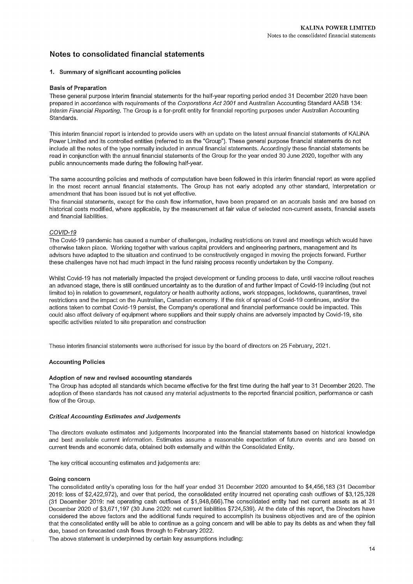## Notes to consolidated financial statements

### 1. Summary of significant accounting policies

### **Basis of Preparation**

These general purpose interim financial statements for the half-year reporting period ended 31 December 2020 have been prepared in accordance with requirements of the Corporations Act 2001 and Australian Accounting Standard AASB 134: Interim Financial Reporting. The Group is a for-profit entity for financial reporting purposes under Australian Accounting Standards

This interim financial report is intended to provide users with an update on the latest annual financial statements of KALINA Power Limited and its controlled entities (referred to as the "Group"). These general purpose financial statements do not include all the notes of the type normally included in annual financial statements. Accordingly these financial statements be read in conjunction with the annual financial statements of the Group for the year ended 30 June 2020, together with any public announcements made during the following half-year.

The same accounting policies and methods of computation have been followed in this interim financial report as were applied in the most recent annual financial statements. The Group has not early adopted any other standard, interpretation or amendment that has been issued but is not yet effective.

The financial statements, except for the cash flow information, have been prepared on an accruals basis and are based on historical costs modified, where applicable, by the measurement at fair value of selected non-current assets, financial assets and financial liabilities.

### COVID-19

The Covid-19 pandemic has caused a number of challenges, including restrictions on travel and meetings which would have otherwise taken place. Working together with various capital providers and engineering partners, management and its advisors have adapted to the situation and continued to be constructively engaged in moving the projects forward. Further these challenges have not had much impact in the fund raising process recently undertaken by the Company.

Whilst Covid-19 has not materially impacted the project development or funding process to date, until vaccine rollout reaches an advanced stage, there is still continued uncertainty as to the duration of and further impact of Covid-19 including (but not limited to) in relation to government, regulatory or health authority actions, work stoppages, lockdowns, quarantines, travel restrictions and the impact on the Australian, Canadian economy. If the risk of spread of Covid-19 continues, and/or the actions taken to combat Covid-19 persist, the Company's operational and financial performance could be impacted. This could also affect delivery of equipment where suppliers and their supply chains are adversely impacted by Covid-19, site specific activities related to site preparation and construction

These interim financial statements were authorised for issue by the board of directors on 25 February, 2021.

### **Accounting Policies**

### Adoption of new and revised accounting standards

The Group has adopted all standards which became effective for the first time during the half year to 31 December 2020. The adoption of these standards has not caused any material adjustments to the reported financial position, performance or cash flow of the Group.

### **Critical Accounting Estimates and Judgements**

The directors evaluate estimates and judgements incorporated into the financial statements based on historical knowledge and best available current information. Estimates assume a reasonable expectation of future events and are based on current trends and economic data, obtained both externally and within the Consolidated Entity.

The key critical accounting estimates and judgements are:

### Going concern

The consolidated entity's operating loss for the half year ended 31 December 2020 amounted to \$4,456,183 (31 December 2019: loss of \$2,422,972), and over that period, the consolidated entity incurred net operating cash outflows of \$3,125,328 (31 December 2019; net operating cash outflows of \$1,948,666). The consolidated entity had net current assets as at 31 December 2020 of \$3.671.197 (30 June 2020; net current liabilities \$724,539). At the date of this report, the Directors have considered the above factors and the additional funds required to accomplish its business objectives and are of the opinion that the consolidated entity will be able to continue as a going concern and will be able to pay its debts as and when they fall due, based on forecasted cash flows through to February 2022.

The above statement is underpinned by certain key assumptions including: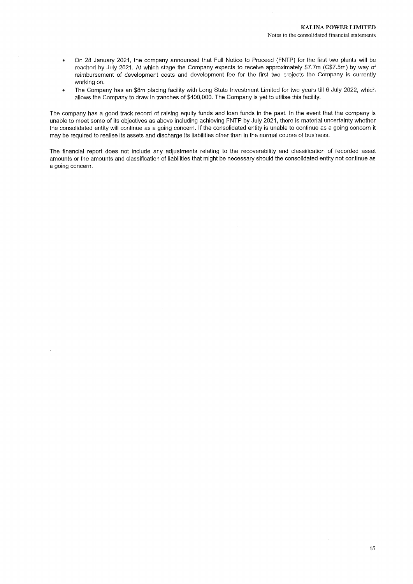- On 28 January 2021, the company announced that Full Notice to Proceed (FNTP) for the first two plants will be  $\bullet$ reached by July 2021. At which stage the Company expects to receive approximately \$7.7m (C\$7.5m) by way of reimbursement of development costs and development fee for the first two projects the Company is currently working on.
- The Company has an \$8m placing facility with Long State Investment Limited for two years till 6 July 2022, which  $\ddot{\phantom{a}}$ allows the Company to draw in tranches of \$400,000. The Company is yet to utilise this facility.

The company has a good track record of raising equity funds and loan funds in the past. In the event that the company is unable to meet some of its objectives as above including achieving FNTP by July 2021, there is material uncertainty whether the consolidated entity will continue as a going concern. If the consolidated entity is unable to continue as a going concern it may be required to realise its assets and discharge its liabilities other than in the normal course of business.

The financial report does not include any adjustments relating to the recoverability and classification of recorded asset amounts or the amounts and classification of liabilities that might be necessary should the consolidated entity not continue as a going concern.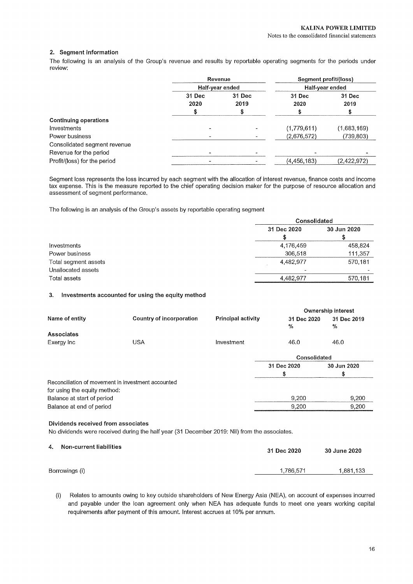### 2. Segment information

The following is an analysis of the Group's revenue and results by reportable operating segments for the periods under review:

|                              |                | Revenue         | Segment profit/(loss) |                |
|------------------------------|----------------|-----------------|-----------------------|----------------|
|                              |                | Half-year ended | Half-year ended       |                |
|                              | 31 Dec<br>2020 | 31 Dec<br>2019  | 31 Dec<br>2020        | 31 Dec<br>2019 |
|                              |                | \$              |                       |                |
| <b>Continuing operations</b> |                |                 |                       |                |
| Investments                  |                |                 | (1,779,611)           | (1,683,169)    |
| Power business               |                |                 | (2,676,572)           | (739,803)      |
| Consolidated segment revenue |                |                 |                       |                |
| Revenue for the period       |                |                 |                       |                |
| Profit/(loss) for the period |                |                 | (4,456,183)           | (2,422,972)    |

Segment loss represents the loss incurred by each segment with the allocation of interest revenue, finance costs and income tax expense. This is the measure reported to the chief operating decision maker for the purpose of resource allocation and assessment of segment performance.

The following is an analysis of the Group's assets by reportable operating segment

|                      | Consolidated |             |
|----------------------|--------------|-------------|
|                      | 31 Dec 2020  | 30 Jun 2020 |
|                      |              |             |
| Investments          | 4,176,459    | 458,824     |
| Power business       | 306,518      | 111,357     |
| Total segment assets | 4,482,977    | 570,181     |
| Unallocated assets   |              |             |
| Total assets         | 4,482,977    | 570,181     |

#### Investments accounted for using the equity method  $3.$

|                              |                                                    |                           |                  | <b>Ownership interest</b> |
|------------------------------|----------------------------------------------------|---------------------------|------------------|---------------------------|
| Name of entity               | Country of incorporation                           | <b>Principal activity</b> | 31 Dec 2020<br>% | 31 Dec 2019<br>%          |
| Associates                   |                                                    |                           |                  |                           |
| Exergy Inc                   | <b>USA</b>                                         | Investment                | 46.0             | 46.0                      |
|                              |                                                    |                           | Consolidated     |                           |
|                              |                                                    |                           | 31 Dec 2020      | 30 Jun 2020               |
|                              |                                                    |                           | \$               | \$                        |
|                              | Reconciliation of movement in investment accounted |                           |                  |                           |
| for using the equity method: |                                                    |                           |                  |                           |
| Balance at start of period   |                                                    |                           | 9,200            | 9,200                     |
| Balance at end of period     |                                                    |                           | 9,200            | 9,200                     |
|                              |                                                    |                           |                  |                           |

### Dividends received from associates

No dividends were received during the half year (31 December 2019: Nil) from the associates.

- Non-current liabilities  $\mathbf{A}$ 31 Dec 2020 30 June 2020 Borrowings (i) 1,786,571 1,881,133
	- Relates to amounts owing to key outside shareholders of New Energy Asia (NEA), on account of expenses incurred  $(i)$ and payable under the loan agreement only when NEA has adequate funds to meet one years working capital requirements after payment of this amount. Interest accrues at 10% per annum.